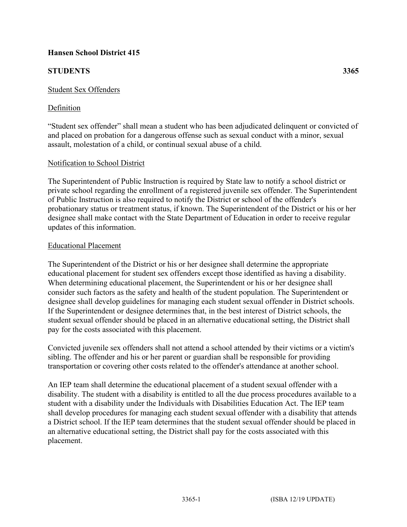## **Hansen School District 415**

# **STUDENTS 3365**

## Student Sex Offenders

# Definition

"Student sex offender" shall mean a student who has been adjudicated delinquent or convicted of and placed on probation for a dangerous offense such as sexual conduct with a minor, sexual assault, molestation of a child, or continual sexual abuse of a child.

## Notification to School District

The Superintendent of Public Instruction is required by State law to notify a school district or private school regarding the enrollment of a registered juvenile sex offender. The Superintendent of Public Instruction is also required to notify the District or school of the offender's probationary status or treatment status, if known. The Superintendent of the District or his or her designee shall make contact with the State Department of Education in order to receive regular updates of this information.

#### Educational Placement

The Superintendent of the District or his or her designee shall determine the appropriate educational placement for student sex offenders except those identified as having a disability. When determining educational placement, the Superintendent or his or her designee shall consider such factors as the safety and health of the student population. The Superintendent or designee shall develop guidelines for managing each student sexual offender in District schools. If the Superintendent or designee determines that, in the best interest of District schools, the student sexual offender should be placed in an alternative educational setting, the District shall pay for the costs associated with this placement.

Convicted juvenile sex offenders shall not attend a school attended by their victims or a victim's sibling. The offender and his or her parent or guardian shall be responsible for providing transportation or covering other costs related to the offender's attendance at another school.

An IEP team shall determine the educational placement of a student sexual offender with a disability. The student with a disability is entitled to all the due process procedures available to a student with a disability under the Individuals with Disabilities Education Act. The IEP team shall develop procedures for managing each student sexual offender with a disability that attends a District school. If the IEP team determines that the student sexual offender should be placed in an alternative educational setting, the District shall pay for the costs associated with this placement.